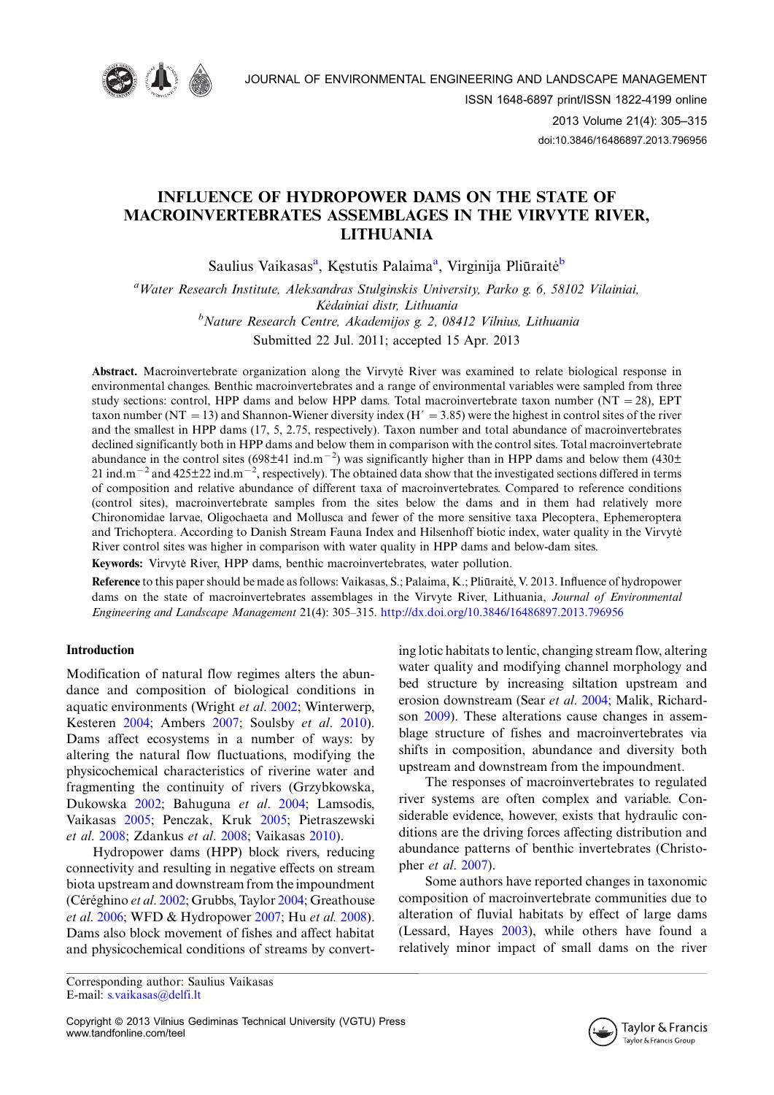

# INFLUENCE OF HYDROPOWER DAMS ON THE STATE OF MACROINVERTEBRATES ASSEMBLAGES IN THE VIRVYTE RIVER, LITHUANIA

Saulius Vaikasas<sup>a</sup>, Kęstutis Palaima<sup>a</sup>, Virginija Pliūraitė<sup>b</sup>

<sup>a</sup>Water Research Institute, Aleksandras Stulginskis University, Parko g. 6, 58102 Vilainiai, Kėdainiai distr, Lithuania <sup>b</sup>Nature Research Centre, Akademijos g. 2, 08412 Vilnius, Lithuania Submitted 22 Jul. 2011; accepted 15 Apr. 2013

Abstract. Macroinvertebrate organization along the Virvyte River was examined to relate biological response in environmental changes. Benthic macroinvertebrates and a range of environmental variables were sampled from three study sections: control, HPP dams and below HPP dams. Total macroinvertebrate taxon number ( $NT = 28$ ), EPT taxon number (NT = 13) and Shannon-Wiener diversity index (H $\prime$  = 3.85) were the highest in control sites of the river and the smallest in HPP dams (17, 5, 2.75, respectively). Taxon number and total abundance of macroinvertebrates declined significantly both in HPP dams and below them in comparison with the control sites. Total macroinvertebrate abundance in the control sites (698 $\pm$ 41 ind.m<sup>-2</sup>) was significantly higher than in HPP dams and below them (430 $\pm$ 21 ind.m<sup>-2</sup> and 425 $\pm$ 22 ind.m<sup>-2</sup>, respectively). The obtained data show that the investigated sections differed in terms of composition and relative abundance of different taxa of macroinvertebrates. Compared to reference conditions (control sites), macroinvertebrate samples from the sites below the dams and in them had relatively more Chironomidae larvae, Oligochaeta and Mollusca and fewer of the more sensitive taxa Plecoptera, Ephemeroptera and Trichoptera. According to Danish Stream Fauna Index and Hilsenhoff biotic index, water quality in the Virvyte River control sites was higher in comparison with water quality in HPP dams and below-dam sites.

Keywords: Virvyte River, HPP dams, benthic macroinvertebrates, water pollution.

Reference to this paper should be made as follows: Vaikasas, S.; Palaima, K.; Pliūraitė, V. 2013. Influence of hydropower dams on the state of macroinvertebrates assemblages in the Virvyte River, Lithuania, Journal of Environmental Engineering and Landscape Management 21(4): 305–315. <http://dx.doi.org/10.3846/16486897.2013.796956>

# Introduction

Modification of natural flow regimes alters the abundance and composition of biological conditions in aquatic environments (Wright et al. [2002](#page-9-0); Winterwerp, Kesteren [2004;](#page-9-0) Ambers [2007;](#page-8-0) Soulsby et al. [2010\)](#page-9-0). Dams affect ecosystems in a number of ways: by altering the natural flow fluctuations, modifying the physicochemical characteristics of riverine water and fragmenting the continuity of rivers (Grzybkowska, Dukowska [2002](#page-8-0); Bahuguna et al. [2004](#page-8-0); Lamsodis, Vaikasas [2005](#page-8-0); Penczak, Kruk [2005;](#page-9-0) Pietraszewski et al. [2008](#page-9-0); Zdankus et al. [2008;](#page-9-0) Vaikasas [2010](#page-9-0)).

Hydropower dams (HPP) block rivers, reducing connectivity and resulting in negative effects on stream biota upstream and downstream from the impoundment (Céréghino et al. [2002](#page-8-0); Grubbs, Taylor [2004](#page-8-0); Greathouse et al. [2006;](#page-8-0) WFD & Hydropower [2007](#page-9-0); Hu et al. [2008\)](#page-8-0). Dams also block movement of fishes and affect habitat and physicochemical conditions of streams by converting lotic habitats to lentic, changing stream flow, altering water quality and modifying channel morphology and bed structure by increasing siltation upstream and erosion downstream (Sear et al. [2004;](#page-9-0) Malik, Richardson [2009](#page-9-0)). These alterations cause changes in assemblage structure of fishes and macroinvertebrates via shifts in composition, abundance and diversity both upstream and downstream from the impoundment.

The responses of macroinvertebrates to regulated river systems are often complex and variable. Considerable evidence, however, exists that hydraulic conditions are the driving forces affecting distribution and abundance patterns of benthic invertebrates (Christopher et al. [2007](#page-8-0)).

Some authors have reported changes in taxonomic composition of macroinvertebrate communities due to alteration of fluvial habitats by effect of large dams (Lessard, Hayes [2003\)](#page-8-0), while others have found a relatively minor impact of small dams on the river



Corresponding author: Saulius Vaikasas E-mail: [s.vaikasas@delfi.lt](mailto:s.vaikasas@delfi.lt)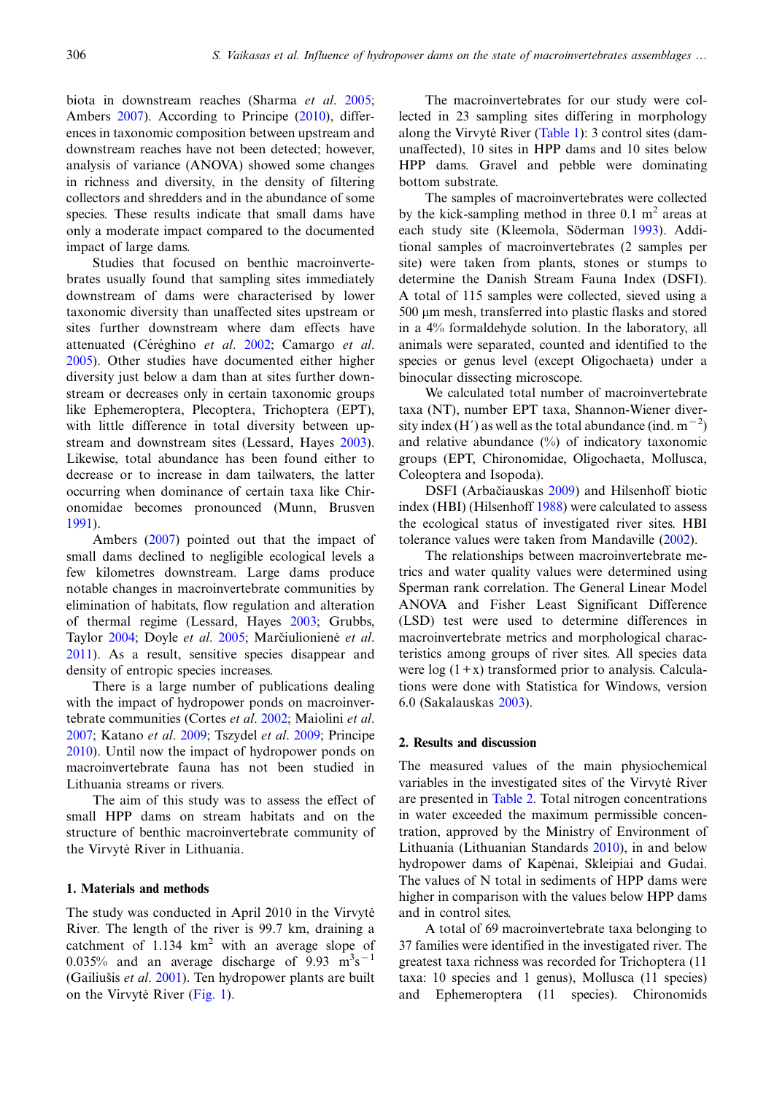biota in downstream reaches (Sharma et al. [2005;](#page-9-0) Ambers [2007\)](#page-8-0). According to Principe ([2010\)](#page-9-0), differences in taxonomic composition between upstream and downstream reaches have not been detected; however, analysis of variance (ANOVA) showed some changes in richness and diversity, in the density of filtering collectors and shredders and in the abundance of some species. These results indicate that small dams have only a moderate impact compared to the documented impact of large dams.

Studies that focused on benthic macroinvertebrates usually found that sampling sites immediately downstream of dams were characterised by lower taxonomic diversity than unaffected sites upstream or sites further downstream where dam effects have attenuated (Céréghino et al. [2002](#page-8-0); Camargo et al. [2005\)](#page-8-0). Other studies have documented either higher diversity just below a dam than at sites further downstream or decreases only in certain taxonomic groups like Ephemeroptera, Plecoptera, Trichoptera (EPT), with little difference in total diversity between upstream and downstream sites (Lessard, Hayes [2003\)](#page-8-0). Likewise, total abundance has been found either to decrease or to increase in dam tailwaters, the latter occurring when dominance of certain taxa like Chironomidae becomes pronounced (Munn, Brusven [1991\)](#page-9-0).

Ambers ([2007\)](#page-8-0) pointed out that the impact of small dams declined to negligible ecological levels a few kilometres downstream. Large dams produce notable changes in macroinvertebrate communities by elimination of habitats, flow regulation and alteration of thermal regime (Lessard, Hayes [2003;](#page-8-0) Grubbs, Taylor [2004](#page-8-0); Doyle et al. [2005](#page-8-0); Marčiulioniene et al. [2011\)](#page-9-0). As a result, sensitive species disappear and density of entropic species increases.

There is a large number of publications dealing with the impact of hydropower ponds on macroinvertebrate communities (Cortes et al. [2002](#page-8-0); Maiolini et al. [2007;](#page-9-0) Katano et al. [2009](#page-8-0); Tszydel et al. [2009;](#page-9-0) Principe [2010\)](#page-9-0). Until now the impact of hydropower ponds on macroinvertebrate fauna has not been studied in Lithuania streams or rivers.

The aim of this study was to assess the effect of small HPP dams on stream habitats and on the structure of benthic macroinvertebrate community of the Virvytė River in Lithuania.

### 1. Materials and methods

The study was conducted in April 2010 in the Virvyte River. The length of the river is 99.7 km, draining a catchment of  $1.134 \text{ km}^2$  with an average slope of 0.035% and an average discharge of  $9.93 \text{ m}^3\text{s}^{-1}$ (Gailiušis et al.  $2001$ ). Ten hydropower plants are built on the Virvyte River [\(Fig. 1](#page-2-0)).

The macroinvertebrates for our study were collected in 23 sampling sites differing in morphology along the Virvyte River ([Table 1\)](#page-3-0): 3 control sites (damunaffected), 10 sites in HPP dams and 10 sites below HPP dams. Gravel and pebble were dominating bottom substrate.

The samples of macroinvertebrates were collected by the kick-sampling method in three  $0.1 \text{ m}^2$  areas at each study site (Kleemola, Söderman [1993\)](#page-8-0). Additional samples of macroinvertebrates (2 samples per site) were taken from plants, stones or stumps to determine the Danish Stream Fauna Index (DSFI). A total of 115 samples were collected, sieved using a 500 mm mesh, transferred into plastic flasks and stored in a 4% formaldehyde solution. In the laboratory, all animals were separated, counted and identified to the species or genus level (except Oligochaeta) under a binocular dissecting microscope.

We calculated total number of macroinvertebrate taxa (NT), number EPT taxa, Shannon-Wiener diversity index (H') as well as the total abundance (ind.  $m^{-2}$ ) and relative abundance (%) of indicatory taxonomic groups (EPT, Chironomidae, Oligochaeta, Mollusca, Coleoptera and Isopoda).

DSFI (Arbačiauskas [2009](#page-8-0)) and Hilsenhoff biotic index (HBI) (Hilsenhoff [1988\)](#page-8-0) were calculated to assess the ecological status of investigated river sites. HBI tolerance values were taken from Mandaville [\(2002](#page-9-0)).

The relationships between macroinvertebrate metrics and water quality values were determined using Sperman rank correlation. The General Linear Model ANOVA and Fisher Least Significant Difference (LSD) test were used to determine differences in macroinvertebrate metrics and morphological characteristics among groups of river sites. All species data were  $log(1+x)$  transformed prior to analysis. Calculations were done with Statistica for Windows, version 6.0 (Sakalauskas [2003](#page-9-0)).

## 2. Results and discussion

The measured values of the main physiochemical variables in the investigated sites of the Virvyte River are presented in [Table 2](#page-3-0). Total nitrogen concentrations in water exceeded the maximum permissible concentration, approved by the Ministry of Environment of Lithuania (Lithuanian Standards [2010](#page-9-0)), in and below hydropower dams of Kapenai, Skleipiai and Gudai. The values of N total in sediments of HPP dams were higher in comparison with the values below HPP dams and in control sites.

A total of 69 macroinvertebrate taxa belonging to 37 families were identified in the investigated river. The greatest taxa richness was recorded for Trichoptera (11 taxa: 10 species and 1 genus), Mollusca (11 species) and Ephemeroptera (11 species). Chironomids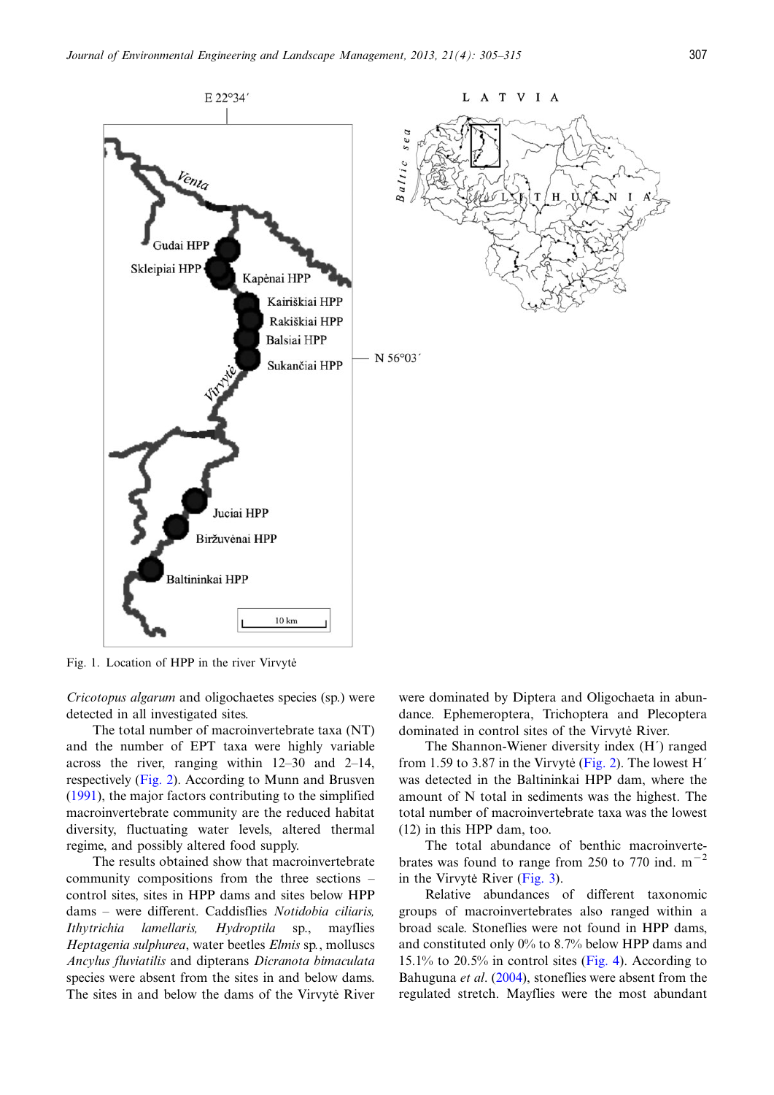<span id="page-2-0"></span>

Fig. 1. Location of HPP in the river Virvytė

Cricotopus algarum and oligochaetes species (sp.) were detected in all investigated sites.

The total number of macroinvertebrate taxa (NT) and the number of EPT taxa were highly variable across the river, ranging within 12–30 and 2–14, respectively ([Fig. 2](#page-4-0)). According to Munn and Brusven [\(1991](#page-9-0)), the major factors contributing to the simplified macroinvertebrate community are the reduced habitat diversity, fluctuating water levels, altered thermal regime, and possibly altered food supply.

The results obtained show that macroinvertebrate community compositions from the three sections – control sites, sites in HPP dams and sites below HPP dams – were different. Caddisflies Notidobia ciliaris, Ithytrichia lamellaris, Hydroptila sp., mayflies Heptagenia sulphurea, water beetles Elmis sp., molluscs Ancylus fluviatilis and dipterans Dicranota bimaculata species were absent from the sites in and below dams. The sites in and below the dams of the Virvyte River were dominated by Diptera and Oligochaeta in abundance. Ephemeroptera, Trichoptera and Plecoptera dominated in control sites of the Virvyte River.

The Shannon-Wiener diversity index (H´) ranged from 1.59 to 3.87 in the Virvyte  $(Fig. 2)$ . The lowest H<sup>'</sup> was detected in the Baltininkai HPP dam, where the amount of N total in sediments was the highest. The total number of macroinvertebrate taxa was the lowest (12) in this HPP dam, too.

The total abundance of benthic macroinvertebrates was found to range from 250 to 770 ind.  $m^{-2}$ in the Virvyte River (Fig.  $3$ ).

Relative abundances of different taxonomic groups of macroinvertebrates also ranged within a broad scale. Stoneflies were not found in HPP dams, and constituted only 0% to 8.7% below HPP dams and 15.1% to 20.5% in control sites [\(Fig. 4](#page-5-0)). According to Bahuguna *et al.* ([2004](#page-8-0)), stoneflies were absent from the regulated stretch. Mayflies were the most abundant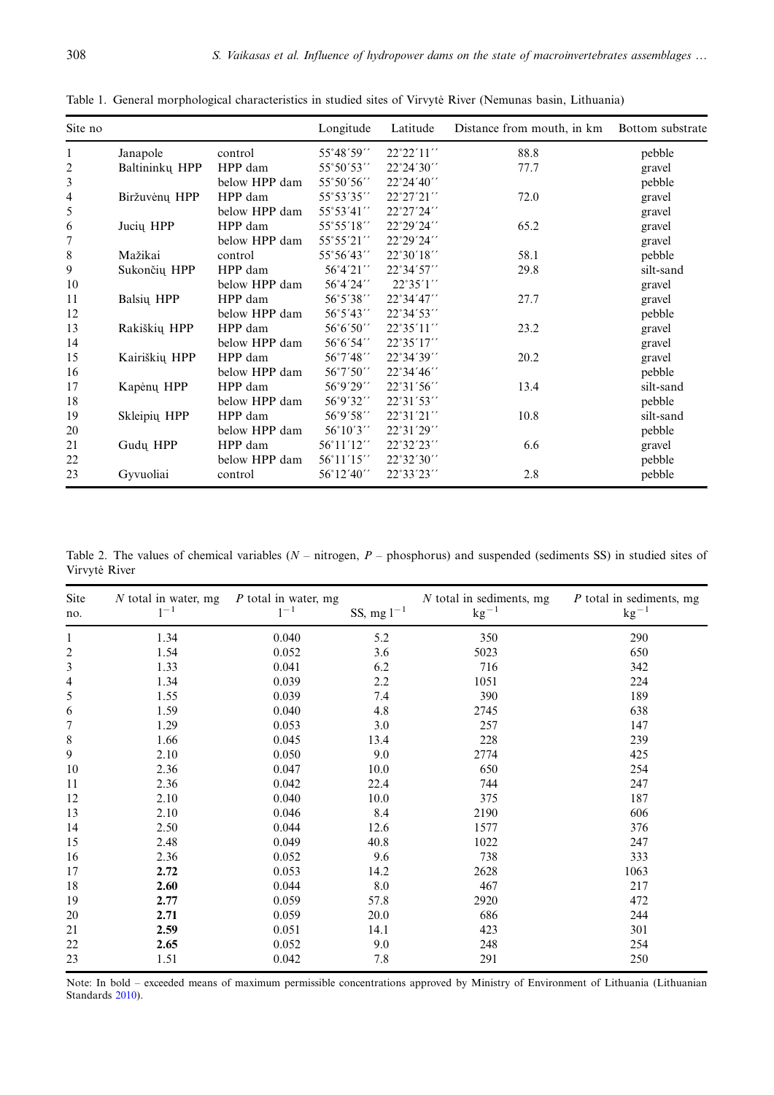| Site no                  |                |               | Longitude          | Latitude            | Distance from mouth, in km | Bottom substrate |
|--------------------------|----------------|---------------|--------------------|---------------------|----------------------------|------------------|
| 1                        | Janapole       | control       | 55°48′59′′         | 22°22'11"           | 88.8                       | pebble           |
| $\overline{\mathbf{c}}$  | Baltininkų HPP | HPP dam       | 55°50′53′′         | $22^{\circ}24'30''$ | 77.7                       | gravel           |
| 3                        |                | below HPP dam | 55°50′56′′         | 22°24'40''          |                            | pebble           |
| $\overline{\mathcal{L}}$ | Biržuvėnų HPP  | HPP dam       | 55°53′35″          | $22^{\circ}27'21''$ | 72.0                       | gravel           |
| 5                        |                | below HPP dam | 55°53′41′′         | 22°27'24''          |                            | gravel           |
| 6                        | Jucių HPP      | HPP dam       | 55°55′18′′         | 22°29'24''          | 65.2                       | gravel           |
| $\boldsymbol{7}$         |                | below HPP dam | 55°55′21′′         | 22°29'24"           |                            | gravel           |
| $\,$ $\,$                | Mažikai        | control       | 55°56′43′′         | 22°30'18"           | 58.1                       | pebble           |
| 9                        | Sukončių HPP   | HPP dam       | 56°4'21''          | 22°34'57''          | 29.8                       | silt-sand        |
| 10                       |                | below HPP dam | 56°4'24''          | 22°35'1"            |                            | gravel           |
| 11                       | Balsių HPP     | HPP dam       | 56°5′38′′          | 22°34'47''          | 27.7                       | gravel           |
| 12                       |                | below HPP dam | 56°5′43′′          | 22°34'53''          |                            | pebble           |
| 13                       | Rakiškių HPP   | HPP dam       | 56°6′50′′          | 22°35'11"           | 23.2                       | gravel           |
| 14                       |                | below HPP dam | 56°6′54′′          | 22°35'17"           |                            | gravel           |
| 15                       | Kairiškių HPP  | HPP dam       | 56°7′48′′          | 22°34'39''          | 20.2                       | gravel           |
| 16                       |                | below HPP dam | $56^{\circ}7'50''$ | 22°34'46''          |                            | pebble           |
| 17                       | Kapėnų HPP     | HPP dam       | 56°9'29''          | 22°31'56"           | 13.4                       | silt-sand        |
| 18                       |                | below HPP dam | 56°9'32''          | 22°31'53"           |                            | pebble           |
| 19                       | Skleipių HPP   | HPP dam       | 56°9′58′′          | 22°31'21"           | 10.8                       | silt-sand        |
| 20                       |                | below HPP dam | $56^{\circ}10'3''$ | 22°31'29"           |                            | pebble           |
| 21                       | Gudu HPP       | HPP dam       | 56°11'12″          | 22°32′23′′          | 6.6                        | gravel           |
| 22                       |                | below HPP dam | 56°11'15"          | 22°32'30''          |                            | pebble           |
| 23                       | Gyvuoliai      | control       | 56°12'40''         | 22°33'23''          | 2.8                        | pebble           |

<span id="page-3-0"></span>Table 1. General morphological characteristics in studied sites of Virvyte River (Nemunas basin, Lithuania)

Table 2. The values of chemical variables  $(N - nitrogen, P - phosphorus)$  and suspended (sediments SS) in studied sites of Virvytė River

| Site<br>no.              | $N$ total in water, mg<br>$1^{-1}$ | P total in water, mg<br>$1^{-1}$ | SS, mg $1^{-1}$ | $N$ total in sediments, mg<br>$\rm kg^{-1}$ | $P$ total in sediments, mg<br>$kg^{-1}$ |
|--------------------------|------------------------------------|----------------------------------|-----------------|---------------------------------------------|-----------------------------------------|
| $\mathbf{1}$             | 1.34                               | 0.040                            | 5.2             | 350                                         | 290                                     |
| $\overline{\mathbf{c}}$  | 1.54                               | 0.052                            | 3.6             | 5023                                        | 650                                     |
| $\mathfrak{Z}$           | 1.33                               | 0.041                            | 6.2             | 716                                         | 342                                     |
| $\overline{\mathcal{L}}$ | 1.34                               | 0.039                            | 2.2             | 1051                                        | 224                                     |
| 5                        | 1.55                               | 0.039                            | 7.4             | 390                                         | 189                                     |
| 6                        | 1.59                               | 0.040                            | 4.8             | 2745                                        | 638                                     |
| $\overline{7}$           | 1.29                               | 0.053                            | 3.0             | 257                                         | 147                                     |
| 8                        | 1.66                               | 0.045                            | 13.4            | 228                                         | 239                                     |
| 9                        | 2.10                               | 0.050                            | 9.0             | 2774                                        | 425                                     |
| 10                       | 2.36                               | 0.047                            | 10.0            | 650                                         | 254                                     |
| 11                       | 2.36                               | 0.042                            | 22.4            | 744                                         | 247                                     |
| 12                       | 2.10                               | 0.040                            | 10.0            | 375                                         | 187                                     |
| 13                       | 2.10                               | 0.046                            | 8.4             | 2190                                        | 606                                     |
| 14                       | 2.50                               | 0.044                            | 12.6            | 1577                                        | 376                                     |
| 15                       | 2.48                               | 0.049                            | 40.8            | 1022                                        | 247                                     |
| 16                       | 2.36                               | 0.052                            | 9.6             | 738                                         | 333                                     |
| 17                       | 2.72                               | 0.053                            | 14.2            | 2628                                        | 1063                                    |
| 18                       | 2.60                               | 0.044                            | 8.0             | 467                                         | 217                                     |
| 19                       | 2.77                               | 0.059                            | 57.8            | 2920                                        | 472                                     |
| 20                       | 2.71                               | 0.059                            | 20.0            | 686                                         | 244                                     |
| 21                       | 2.59                               | 0.051                            | 14.1            | 423                                         | 301                                     |
| 22                       | 2.65                               | 0.052                            | 9.0             | 248                                         | 254                                     |
| 23                       | 1.51                               | 0.042                            | 7.8             | 291                                         | 250                                     |

Note: In bold – exceeded means of maximum permissible concentrations approved by Ministry of Environment of Lithuania (Lithuanian Standards [2010\)](#page-9-0).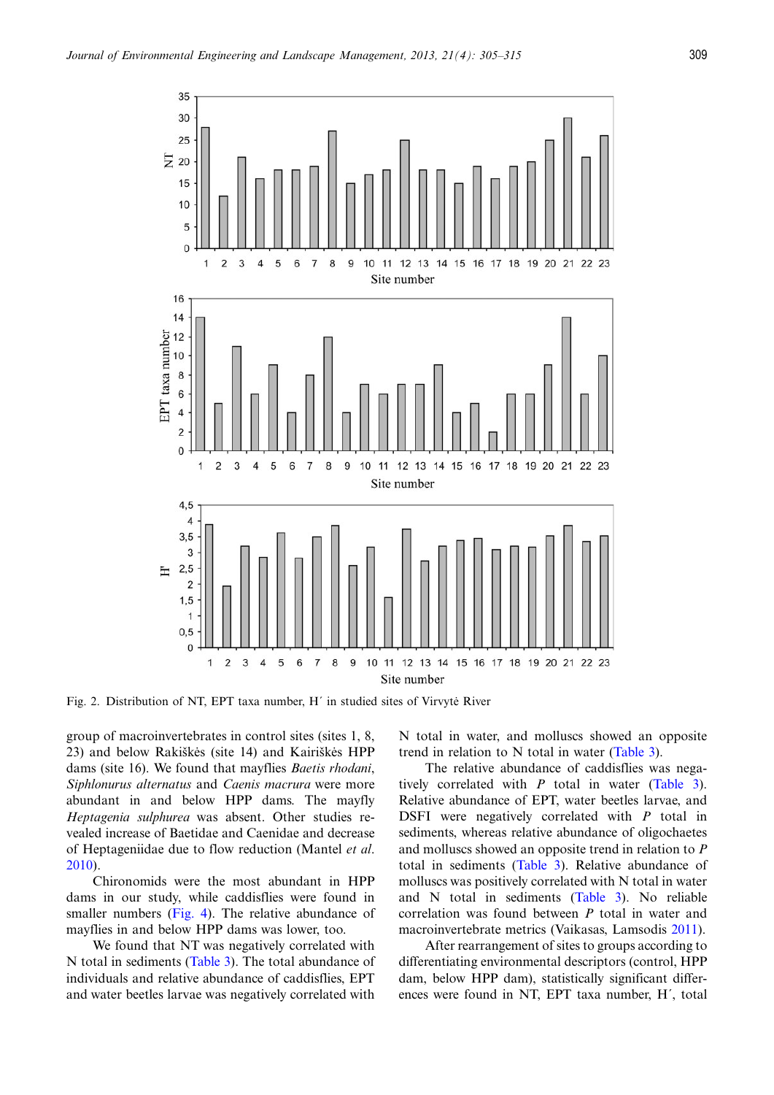<span id="page-4-0"></span>

Fig. 2. Distribution of NT, EPT taxa number, H' in studied sites of Virvyte River

group of macroinvertebrates in control sites (sites 1, 8, 23) and below Rakiškės (site 14) and Kairiškės HPP dams (site 16). We found that mayflies *Baetis rhodani*, Siphlonurus alternatus and Caenis macrura were more abundant in and below HPP dams. The mayfly Heptagenia sulphurea was absent. Other studies revealed increase of Baetidae and Caenidae and decrease of Heptageniidae due to flow reduction (Mantel et al. [2010\)](#page-9-0).

Chironomids were the most abundant in HPP dams in our study, while caddisflies were found in smaller numbers [\(Fig. 4\)](#page-5-0). The relative abundance of mayflies in and below HPP dams was lower, too.

We found that NT was negatively correlated with N total in sediments ([Table 3](#page-6-0)). The total abundance of individuals and relative abundance of caddisflies, EPT and water beetles larvae was negatively correlated with

N total in water, and molluscs showed an opposite trend in relation to N total in water ([Table 3](#page-6-0)).

The relative abundance of caddisflies was negatively correlated with  $P$  total in water ([Table 3](#page-6-0)). Relative abundance of EPT, water beetles larvae, and DSFI were negatively correlated with P total in sediments, whereas relative abundance of oligochaetes and molluscs showed an opposite trend in relation to P total in sediments [\(Table 3](#page-6-0)). Relative abundance of molluscs was positively correlated with N total in water and N total in sediments ([Table 3\)](#page-6-0). No reliable correlation was found between P total in water and macroinvertebrate metrics (Vaikasas, Lamsodis [2011](#page-9-0)).

After rearrangement of sites to groups according to differentiating environmental descriptors (control, HPP dam, below HPP dam), statistically significant differences were found in NT, EPT taxa number, H´, total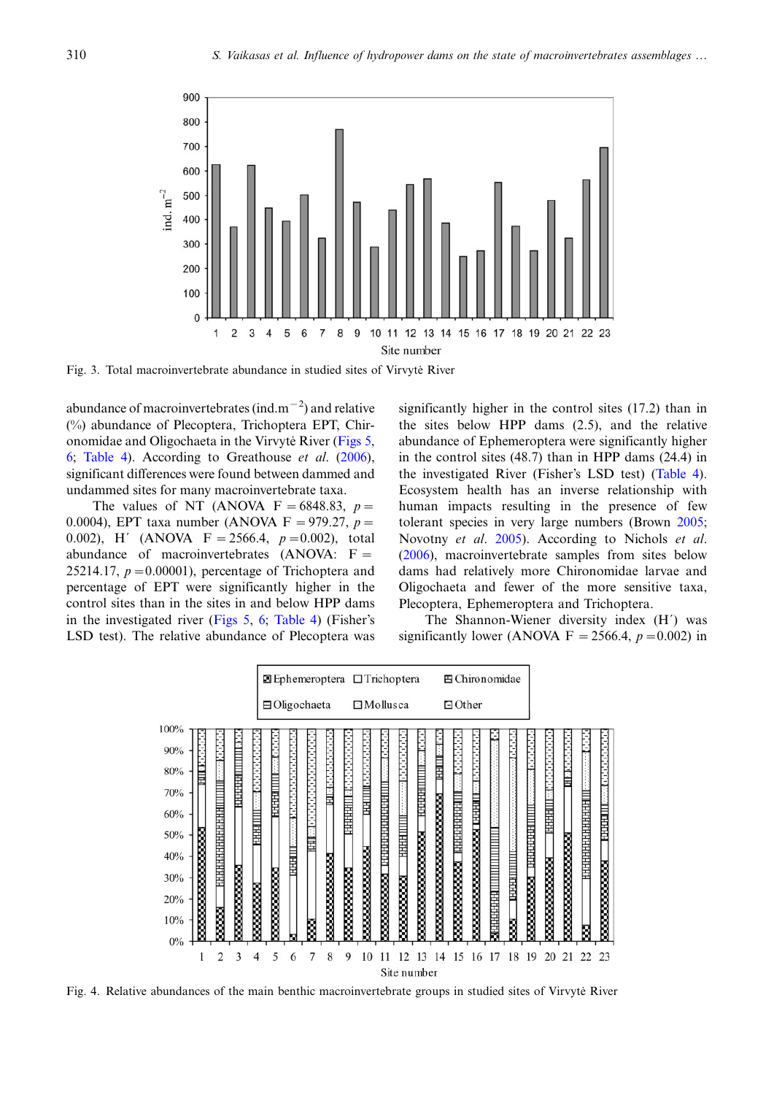<span id="page-5-0"></span>

Fig. 3. Total macroinvertebrate abundance in studied sites of Virvyte River

abundance of macroinvertebrates (ind.m<sup>-2</sup>) and relative (%) abundance of Plecoptera, Trichoptera EPT, Chir-onomidae and Oligochaeta in the Virvyte River ([Figs 5,](#page-6-0) [6;](#page-6-0) [Table 4\)](#page-7-0). According to Greathouse  $et \ al.$  ([2006\)](#page-8-0), significant differences were found between dammed and undammed sites for many macroinvertebrate taxa.

The values of NT (ANOVA  $F = 6848.83$ ,  $p =$ 0.0004), EPT taxa number (ANOVA F = 979.27,  $p =$ 0.002), H' (ANOVA  $F = 2566.4$ ,  $p = 0.002$ ), total abundance of macroinvertebrates (ANOVA: F 25214.17,  $p=0.00001$ ), percentage of Trichoptera and percentage of EPT were significantly higher in the control sites than in the sites in and below HPP dams in the investigated river [\(Figs 5,](#page-6-0) [6](#page-6-0); [Table 4](#page-7-0)) (Fisher's LSD test). The relative abundance of Plecoptera was significantly higher in the control sites (17.2) than in the sites below HPP dams (2.5), and the relative abundance of Ephemeroptera were significantly higher in the control sites (48.7) than in HPP dams (24.4) in the investigated River (Fisher's LSD test) ([Table 4](#page-7-0)). Ecosystem health has an inverse relationship with human impacts resulting in the presence of few tolerant species in very large numbers (Brown [2005;](#page-8-0) Novotny et al. [2005](#page-9-0)). According to Nichols et al. ([2006\)](#page-9-0), macroinvertebrate samples from sites below dams had relatively more Chironomidae larvae and Oligochaeta and fewer of the more sensitive taxa, Plecoptera, Ephemeroptera and Trichoptera.

The Shannon-Wiener diversity index (H´) was significantly lower (ANOVA F = 2566.4,  $p = 0.002$ ) in



Fig. 4. Relative abundances of the main benthic macroinvertebrate groups in studied sites of Virvyte River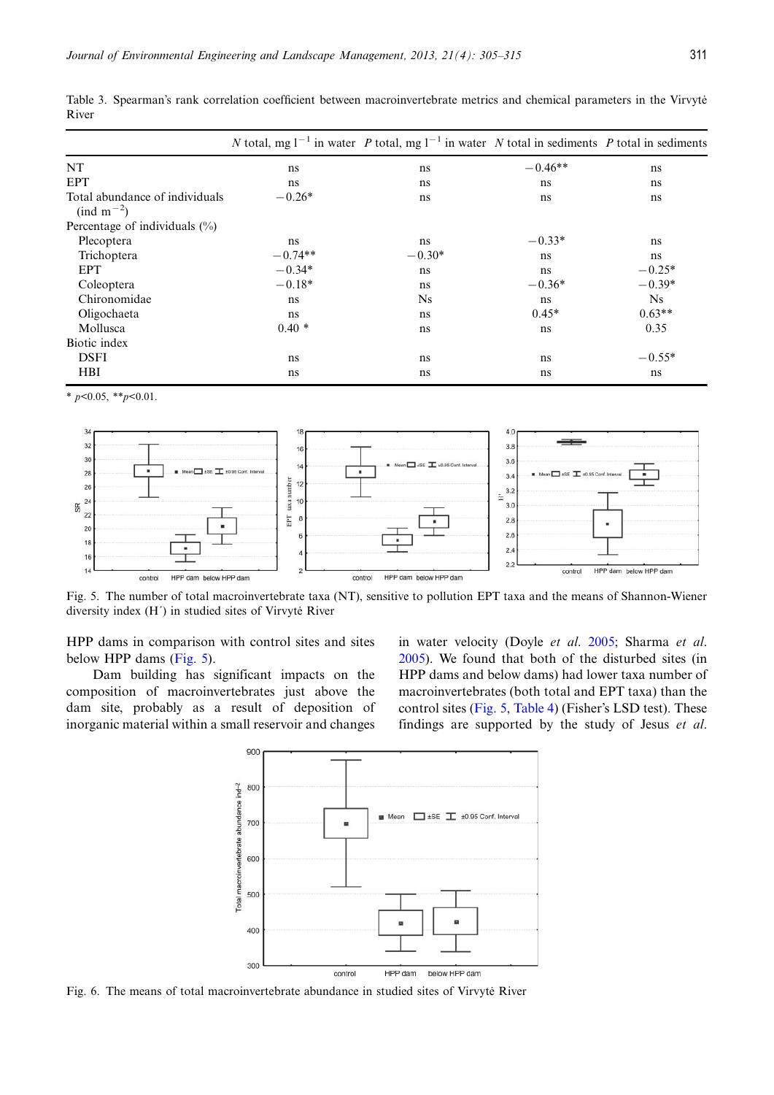|                                                                  |           | N total, mg $1^{-1}$ in water P total, mg $1^{-1}$ in water N total in sediments P total in sediments |           |                |
|------------------------------------------------------------------|-----------|-------------------------------------------------------------------------------------------------------|-----------|----------------|
| NT                                                               | ns        | ns                                                                                                    | $-0.46**$ | ns             |
| <b>EPT</b>                                                       | ns        | ns                                                                                                    | ns        | ns             |
| Total abundance of individuals<br>$\text{ (ind } m^{-2}\text{)}$ | $-0.26*$  | ns                                                                                                    | ns        | ns             |
| Percentage of individuals $(\%)$                                 |           |                                                                                                       |           |                |
| Plecoptera                                                       | ns        | ns                                                                                                    | $-0.33*$  | ns             |
| Trichoptera                                                      | $-0.74**$ | $-0.30*$                                                                                              | ns        | ns             |
| <b>EPT</b>                                                       | $-0.34*$  | ns                                                                                                    | ns        | $-0.25*$       |
| Coleoptera                                                       | $-0.18*$  | ns                                                                                                    | $-0.36*$  | $-0.39*$       |
| Chironomidae                                                     | ns        | <b>Ns</b>                                                                                             | ns        | N <sub>S</sub> |
| Oligochaeta                                                      | ns        | ns                                                                                                    | $0.45*$   | $0.63**$       |
| Mollusca                                                         | $0.40*$   | ns                                                                                                    | ns        | 0.35           |
| Biotic index                                                     |           |                                                                                                       |           |                |
| <b>DSFI</b>                                                      | ns        | ns                                                                                                    | ns        | $-0.55*$       |
| <b>HBI</b>                                                       | ns        | ns                                                                                                    | ns        | ns             |

<span id="page-6-0"></span>Table 3. Spearman's rank correlation coefficient between macroinvertebrate metrics and chemical parameters in the Virvyte River

 $*$   $p<0.05$ ,  $*$  $p<0.01$ .



Fig. 5. The number of total macroinvertebrate taxa (NT), sensitive to pollution EPT taxa and the means of Shannon-Wiener diversity index  $(H')$  in studied sites of Virvyte River

HPP dams in comparison with control sites and sites below HPP dams (Fig. 5).

Dam building has significant impacts on the composition of macroinvertebrates just above the dam site, probably as a result of deposition of inorganic material within a small reservoir and changes in water velocity (Doyle et al. [2005;](#page-8-0) Sharma et al. [2005](#page-9-0)). We found that both of the disturbed sites (in HPP dams and below dams) had lower taxa number of macroinvertebrates (both total and EPT taxa) than the control sites (Fig. 5, [Table 4](#page-7-0)) (Fisher's LSD test). These findings are supported by the study of Jesus et al.



Fig. 6. The means of total macroinvertebrate abundance in studied sites of Virvyte River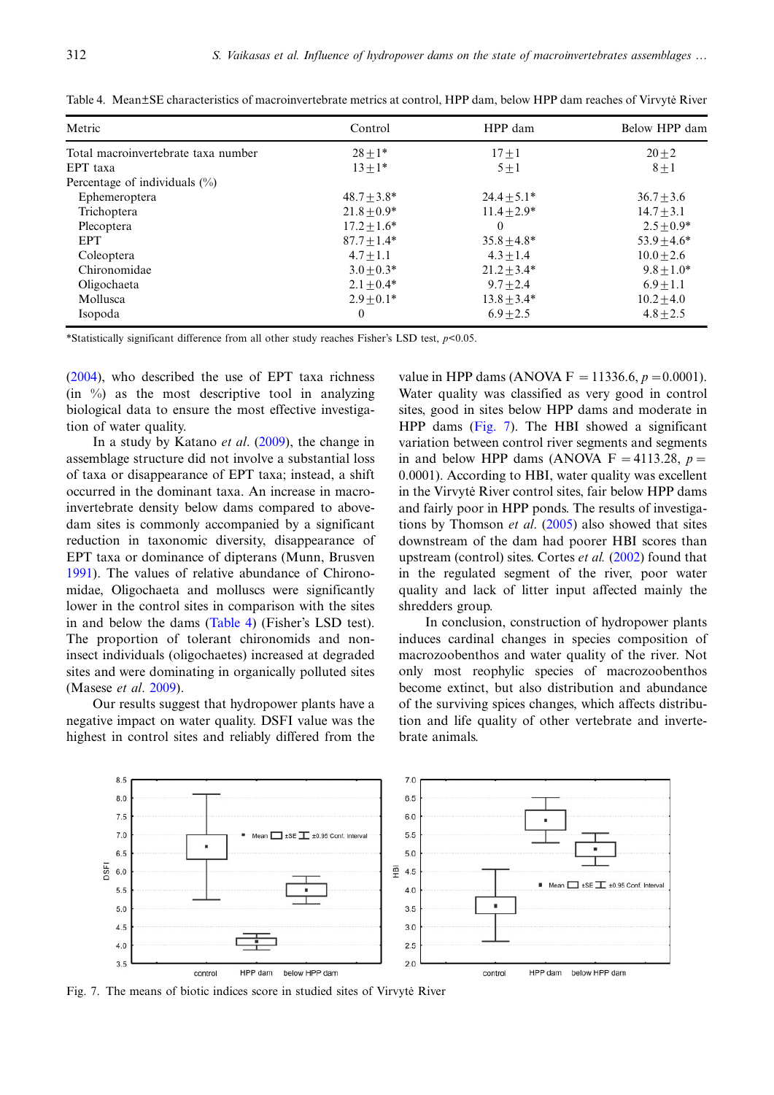| Metric                              | Control       | HPP dam         | Below HPP dam  |
|-------------------------------------|---------------|-----------------|----------------|
| Total macroinvertebrate taxa number | $28 + 1*$     | $17 + 1$        | $20 + 2$       |
| EPT taxa                            | $13 + 1*$     | $5 + 1$         | $8 + 1$        |
| Percentage of individuals $(\%)$    |               |                 |                |
| Ephemeroptera                       | $48.7 + 3.8*$ | $24.4 + 5.1*$   | $36.7 \pm 3.6$ |
| Trichoptera                         | $21.8 + 0.9*$ | $11.4 + 2.9*$   | $14.7 + 3.1$   |
| Plecoptera                          | $17.2 + 1.6*$ | $\theta$        | $2.5 + 0.9*$   |
| <b>EPT</b>                          | $87.7 + 1.4*$ | $35.8 \pm 4.8*$ | $53.9 + 4.6*$  |
| Coleoptera                          | $4.7 + 1.1$   | $4.3 + 1.4$     | $10.0 + 2.6$   |
| Chironomidae                        | $3.0 + 0.3*$  | $21.2 + 3.4*$   | $9.8 + 1.0*$   |
| Oligochaeta                         | $2.1 + 0.4*$  | $9.7 + 2.4$     | $6.9 + 1.1$    |
| Mollusca                            | $2.9 + 0.1*$  | $13.8 + 3.4*$   | $10.2 + 4.0$   |
| Isopoda                             | $\mathbf{0}$  | $6.9 + 2.5$     | $4.8 + 2.5$    |

<span id="page-7-0"></span>Table 4. Mean±SE characteristics of macroinvertebrate metrics at control, HPP dam, below HPP dam reaches of Virvyte˙ River

\*Statistically significant difference from all other study reaches Fisher's LSD test,  $p$ <0.05.

[\(2004](#page-8-0)), who described the use of EPT taxa richness  $(in \%)$  as the most descriptive tool in analyzing biological data to ensure the most effective investigation of water quality.

In a study by Katano *et al.* [\(2009](#page-8-0)), the change in assemblage structure did not involve a substantial loss of taxa or disappearance of EPT taxa; instead, a shift occurred in the dominant taxa. An increase in macroinvertebrate density below dams compared to abovedam sites is commonly accompanied by a significant reduction in taxonomic diversity, disappearance of EPT taxa or dominance of dipterans (Munn, Brusven [1991\)](#page-9-0). The values of relative abundance of Chironomidae, Oligochaeta and molluscs were significantly lower in the control sites in comparison with the sites in and below the dams (Table 4) (Fisher's LSD test). The proportion of tolerant chironomids and noninsect individuals (oligochaetes) increased at degraded sites and were dominating in organically polluted sites (Masese et al. [2009](#page-9-0)).

Our results suggest that hydropower plants have a negative impact on water quality. DSFI value was the highest in control sites and reliably differed from the value in HPP dams (ANOVA F = 11336.6,  $p = 0.0001$ ). Water quality was classified as very good in control sites, good in sites below HPP dams and moderate in HPP dams (Fig. 7). The HBI showed a significant variation between control river segments and segments in and below HPP dams (ANOVA  $F = 4113.28$ ,  $p =$ 0.0001). According to HBI, water quality was excellent in the Virvyte River control sites, fair below HPP dams and fairly poor in HPP ponds. The results of investigations by Thomson *et al.*  $(2005)$  $(2005)$  also showed that sites downstream of the dam had poorer HBI scores than upstream (control) sites. Cortes *et al.* ([2002\)](#page-8-0) found that in the regulated segment of the river, poor water quality and lack of litter input affected mainly the shredders group.

In conclusion, construction of hydropower plants induces cardinal changes in species composition of macrozoobenthos and water quality of the river. Not only most reophylic species of macrozoobenthos become extinct, but also distribution and abundance of the surviving spices changes, which affects distribution and life quality of other vertebrate and invertebrate animals.



Fig. 7. The means of biotic indices score in studied sites of Virvyte River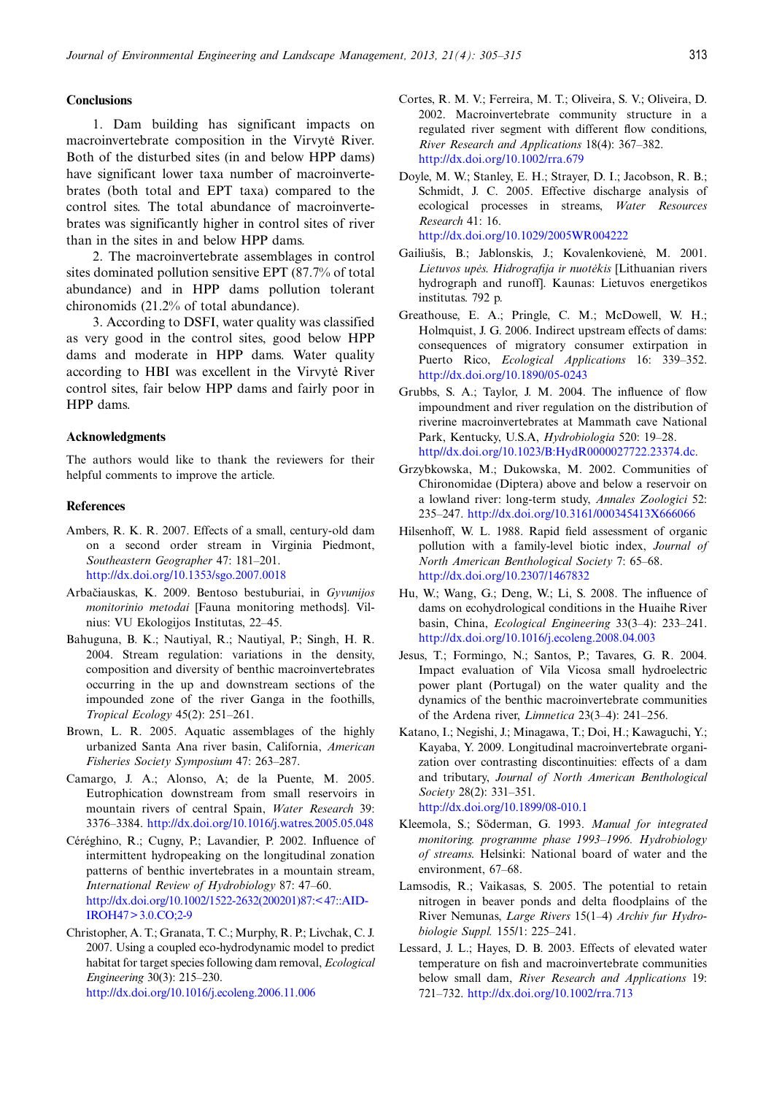# <span id="page-8-0"></span>**Conclusions**

1. Dam building has significant impacts on macroinvertebrate composition in the Virvyte River. Both of the disturbed sites (in and below HPP dams) have significant lower taxa number of macroinvertebrates (both total and EPT taxa) compared to the control sites. The total abundance of macroinvertebrates was significantly higher in control sites of river than in the sites in and below HPP dams.

2. The macroinvertebrate assemblages in control sites dominated pollution sensitive EPT (87.7% of total abundance) and in HPP dams pollution tolerant chironomids (21.2% of total abundance).

3. According to DSFI, water quality was classified as very good in the control sites, good below HPP dams and moderate in HPP dams. Water quality according to HBI was excellent in the Virvyte River control sites, fair below HPP dams and fairly poor in HPP dams.

#### Acknowledgments

The authors would like to thank the reviewers for their helpful comments to improve the article.

### References

- Ambers, R. K. R. 2007. Effects of a small, century-old dam on a second order stream in Virginia Piedmont, Southeastern Geographer 47: 181–201. <http://dx.doi.org/10.1353/sgo.2007.0018>
- Arbačiauskas, K. 2009. Bentoso bestuburiai, in Gyvunijos monitorinio metodai [Fauna monitoring methods]. Vilnius: VU Ekologijos Institutas, 22–45.
- Bahuguna, B. K.; Nautiyal, R.; Nautiyal, P.; Singh, H. R. 2004. Stream regulation: variations in the density, composition and diversity of benthic macroinvertebrates occurring in the up and downstream sections of the impounded zone of the river Ganga in the foothills, Tropical Ecology 45(2): 251–261.
- Brown, L. R. 2005. Aquatic assemblages of the highly urbanized Santa Ana river basin, California, American Fisheries Society Symposium 47: 263–287.
- Camargo, J. A.; Alonso, A; de la Puente, M. 2005. Eutrophication downstream from small reservoirs in mountain rivers of central Spain, Water Research 39: 3376–3384. <http://dx.doi.org/10.1016/j.watres.2005.05.048>
- Céréghino, R.; Cugny, P.; Lavandier, P. 2002. Influence of intermittent hydropeaking on the longitudinal zonation patterns of benthic invertebrates in a mountain stream, International Review of Hydrobiology 87: 47–60. [http://dx.doi.org/10.1002/1522-2632\(200201\)87:< 47::AID-](http://dx.doi.org/10.1002/1522-2632(200201)87:1<47::AID-IROH47�3.0.CO;2-9)[IROH47> 3.0.CO;2-9](http://dx.doi.org/10.1002/1522-2632(200201)87:1<47::AID-IROH47�3.0.CO;2-9)
- Christopher, A. T.; Granata, T. C.; Murphy, R. P.; Livchak, C. J. 2007. Using a coupled eco-hydrodynamic model to predict habitat for target species following dam removal, Ecological Engineering 30(3): 215–230. <http://dx.doi.org/10.1016/j.ecoleng.2006.11.006>
- Cortes, R. M. V.; Ferreira, M. T.; Oliveira, S. V.; Oliveira, D. 2002. Macroinvertebrate community structure in a regulated river segment with different flow conditions, River Research and Applications 18(4): 367–382. <http://dx.doi.org/10.1002/rra.679>
- Doyle, M. W.; Stanley, E. H.; Strayer, D. I.; Jacobson, R. B.; Schmidt, J. C. 2005. Effective discharge analysis of ecological processes in streams, Water Resources Research 41: 16. <http://dx.doi.org/10.1029/2005WR004222>
- Gailiušis, B.; Jablonskis, J.; Kovalenkovienė, M. 2001. Lietuvos upės. Hidrografija ir nuotėkis [Lithuanian rivers hydrograph and runoff]. Kaunas: Lietuvos energetikos institutas. 792 p.
- Greathouse, E. A.; Pringle, C. M.; McDowell, W. H.; Holmquist, J. G. 2006. Indirect upstream effects of dams: consequences of migratory consumer extirpation in Puerto Rico, Ecological Applications 16: 339–352. <http://dx.doi.org/10.1890/05-0243>
- Grubbs, S. A.; Taylor, J. M. 2004. The influence of flow impoundment and river regulation on the distribution of riverine macroinvertebrates at Mammath cave National Park, Kentucky, U.S.A, Hydrobiologia 520: 19–28. <http//dx.doi.org/10.1023/B:HydR0000027722.23374.dc>.
- Grzybkowska, M.; Dukowska, M. 2002. Communities of Chironomidae (Diptera) above and below a reservoir on a lowland river: long-term study, Annales Zoologici 52: 235–247. <http://dx.doi.org/10.3161/000345413X666066>
- Hilsenhoff, W. L. 1988. Rapid field assessment of organic pollution with a family-level biotic index, Journal of North American Benthological Society 7: 65–68. <http://dx.doi.org/10.2307/1467832>
- Hu, W.; Wang, G.; Deng, W.; Li, S. 2008. The influence of dams on ecohydrological conditions in the Huaihe River basin, China, Ecological Engineering 33(3–4): 233–241. <http://dx.doi.org/10.1016/j.ecoleng.2008.04.003>
- Jesus, T.; Formingo, N.; Santos, P.; Tavares, G. R. 2004. Impact evaluation of Vila Vicosa small hydroelectric power plant (Portugal) on the water quality and the dynamics of the benthic macroinvertebrate communities of the Ardena river, Limnetica 23(3–4): 241–256.
- Katano, I.; Negishi, J.; Minagawa, T.; Doi, H.; Kawaguchi, Y.; Kayaba, Y. 2009. Longitudinal macroinvertebrate organization over contrasting discontinuities: effects of a dam and tributary, Journal of North American Benthological Society 28(2): 331–351. <http://dx.doi.org/10.1899/08-010.1>
- Kleemola, S.; Söderman, G. 1993. Manual for integrated monitoring. programme phase 1993–1996. Hydrobiology of streams. Helsinki: National board of water and the environment, 67–68.
- Lamsodis, R.; Vaikasas, S. 2005. The potential to retain nitrogen in beaver ponds and delta floodplains of the River Nemunas, Large Rivers 15(1–4) Archiv fur Hydrobiologie Suppl. 155/1: 225–241.
- Lessard, J. L.; Hayes, D. B. 2003. Effects of elevated water temperature on fish and macroinvertebrate communities below small dam, River Research and Applications 19: 721–732. <http://dx.doi.org/10.1002/rra.713>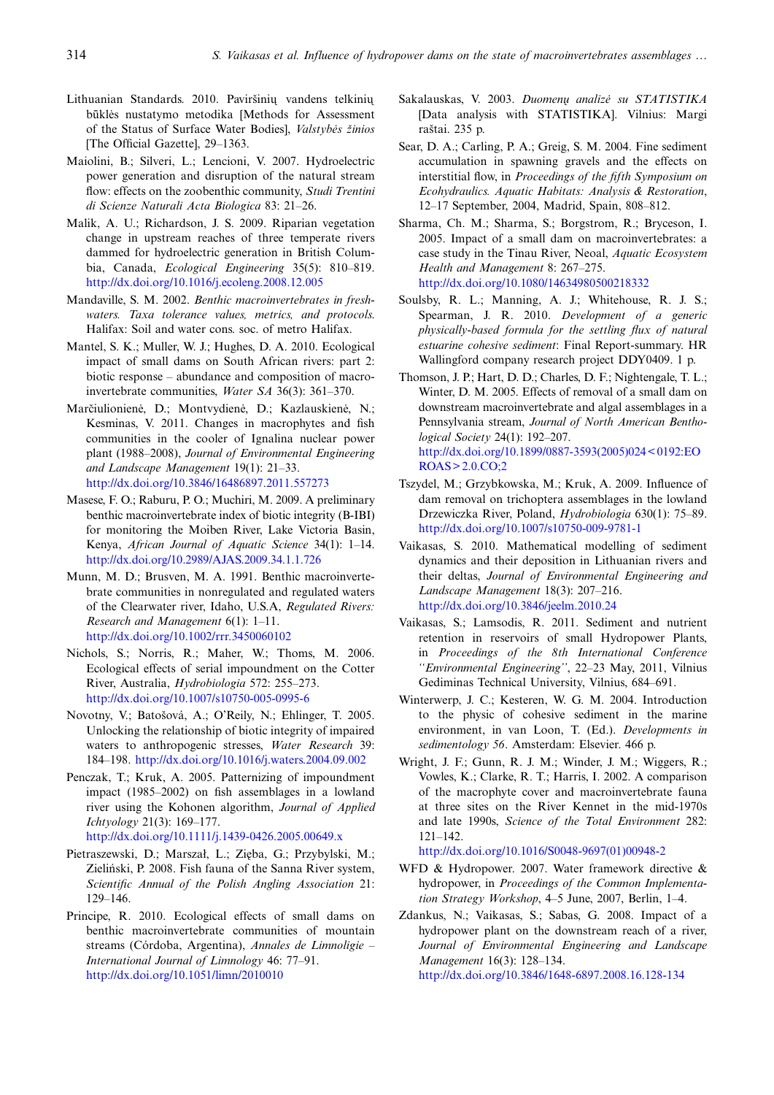- <span id="page-9-0"></span>Lithuanian Standards. 2010. Paviršinių vandens telkinių būklės nustatymo metodika [Methods for Assessment of the Status of Surface Water Bodies], Valstybės žinios [The Official Gazette], 29-1363.
- Maiolini, B.; Silveri, L.; Lencioni, V. 2007. Hydroelectric power generation and disruption of the natural stream flow: effects on the zoobenthic community, Studi Trentini di Scienze Naturali Acta Biologica 83: 21–26.
- Malik, A. U.; Richardson, J. S. 2009. Riparian vegetation change in upstream reaches of three temperate rivers dammed for hydroelectric generation in British Columbia, Canada, Ecological Engineering 35(5): 810–819. <http://dx.doi.org/10.1016/j.ecoleng.2008.12.005>
- Mandaville, S. M. 2002. Benthic macroinvertebrates in freshwaters. Taxa tolerance values, metrics, and protocols. Halifax: Soil and water cons. soc. of metro Halifax.
- Mantel, S. K.; Muller, W. J.; Hughes, D. A. 2010. Ecological impact of small dams on South African rivers: part 2: biotic response – abundance and composition of macroinvertebrate communities, Water SA 36(3): 361–370.
- Marčiulionienė, D.; Montvydienė, D.; Kazlauskienė, N.; Kesminas, V. 2011. Changes in macrophytes and fish communities in the cooler of Ignalina nuclear power plant (1988–2008), Journal of Environmental Engineering and Landscape Management 19(1): 21–33. <http://dx.doi.org/10.3846/16486897.2011.557273>
- Masese, F. O.; Raburu, P. O.; Muchiri, M. 2009. A preliminary benthic macroinvertebrate index of biotic integrity (B-IBI) for monitoring the Moiben River, Lake Victoria Basin, Kenya, African Journal of Aquatic Science 34(1): 1–14. <http://dx.doi.org/10.2989/AJAS.2009.34.1.1.726>
- Munn, M. D.; Brusven, M. A. 1991. Benthic macroinvertebrate communities in nonregulated and regulated waters of the Clearwater river, Idaho, U.S.A, Regulated Rivers: Research and Management 6(1): 1–11. <http://dx.doi.org/10.1002/rrr.3450060102>
- Nichols, S.; Norris, R.; Maher, W.; Thoms, M. 2006. Ecological effects of serial impoundment on the Cotter River, Australia, Hydrobiologia 572: 255–273. <http://dx.doi.org/10.1007/s10750-005-0995-6>
- Novotny, V.; Batošová, A.; O'Reily, N.; Ehlinger, T. 2005. Unlocking the relationship of biotic integrity of impaired waters to anthropogenic stresses, Water Research 39: 184–198. <http://dx.doi.org/10.1016/j.waters.2004.09.002>
- Penczak, T.; Kruk, A. 2005. Patternizing of impoundment impact (1985–2002) on fish assemblages in a lowland river using the Kohonen algorithm, Journal of Applied Ichtyology 21(3): 169–177. <http://dx.doi.org/10.1111/j.1439-0426.2005.00649.x>
- Pietraszewski, D.; Marszał, L.; Zięba, G.; Przybylski, M.; Zieliński, P. 2008. Fish fauna of the Sanna River system, Scientific Annual of the Polish Angling Association 21: 129–146.
- Principe, R. 2010. Ecological effects of small dams on benthic macroinvertebrate communities of mountain streams (Córdoba, Argentina), Annales de Limnoligie – International Journal of Limnology 46: 77–91. <http://dx.doi.org/10.1051/limn/2010010>
- Sakalauskas, V. 2003. Duomenų analizė su STATISTIKA [Data analysis with STATISTIKA]. Vilnius: Margi raštai. 235 p.
- Sear, D. A.; Carling, P. A.; Greig, S. M. 2004. Fine sediment accumulation in spawning gravels and the effects on interstitial flow, in Proceedings of the fifth Symposium on Ecohydraulics. Aquatic Habitats: Analysis & Restoration, 12–17 September, 2004, Madrid, Spain, 808–812.
- Sharma, Ch. M.; Sharma, S.; Borgstrom, R.; Bryceson, I. 2005. Impact of a small dam on macroinvertebrates: a case study in the Tinau River, Neoal, Aquatic Ecosystem Health and Management 8: 267–275. <http://dx.doi.org/10.1080/14634980500218332>
- Soulsby, R. L.; Manning, A. J.; Whitehouse, R. J. S.; Spearman, J. R. 2010. Development of a generic physically-based formula for the settling flux of natural estuarine cohesive sediment: Final Report-summary. HR Wallingford company research project DDY0409. 1 p.
- Thomson, J. P.; Hart, D. D.; Charles, D. F.; Nightengale, T. L.; Winter, D. M. 2005. Effects of removal of a small dam on downstream macroinvertebrate and algal assemblages in a Pennsylvania stream, Journal of North American Benthological Society 24(1): 192–207. [http://dx.doi.org/10.1899/0887-3593\(2005\)024< 0192:EO](http://dx.doi.org/10.1899/0887-3593(2005)024<0192:EOROAS�2.0.CO;2) [ROAS> 2.0.CO;2](http://dx.doi.org/10.1899/0887-3593(2005)024<0192:EOROAS�2.0.CO;2)
- Tszydel, M.; Grzybkowska, M.; Kruk, A. 2009. Influence of dam removal on trichoptera assemblages in the lowland Drzewiczka River, Poland, Hydrobiologia 630(1): 75–89. <http://dx.doi.org/10.1007/s10750-009-9781-1>
- Vaikasas, S. 2010. Mathematical modelling of sediment dynamics and their deposition in Lithuanian rivers and their deltas, Journal of Environmental Engineering and Landscape Management 18(3): 207–216. <http://dx.doi.org/10.3846/jeelm.2010.24>
- Vaikasas, S.; Lamsodis, R. 2011. Sediment and nutrient retention in reservoirs of small Hydropower Plants, in Proceedings of the 8th International Conference ''Environmental Engineering'', 22–23 May, 2011, Vilnius Gediminas Technical University, Vilnius, 684–691.
- Winterwerp, J. C.; Kesteren, W. G. M. 2004. Introduction to the physic of cohesive sediment in the marine environment, in van Loon, T. (Ed.). Developments in sedimentology 56. Amsterdam: Elsevier. 466 p.
- Wright, J. F.; Gunn, R. J. M.; Winder, J. M.; Wiggers, R.; Vowles, K.; Clarke, R. T.; Harris, I. 2002. A comparison of the macrophyte cover and macroinvertebrate fauna at three sites on the River Kennet in the mid-1970s and late 1990s, Science of the Total Environment 282: 121–142.

[http://dx.doi.org/10.1016/S0048-9697\(01\)00948-2](http://dx.doi.org/10.1016/S0048-9697(01)00948-2)

- WFD & Hydropower. 2007. Water framework directive & hydropower, in Proceedings of the Common Implementation Strategy Workshop, 4–5 June, 2007, Berlin, 1–4.
- Zdankus, N.; Vaikasas, S.; Sabas, G. 2008. Impact of a hydropower plant on the downstream reach of a river, Journal of Environmental Engineering and Landscape Management 16(3): 128–134. <http://dx.doi.org/10.3846/1648-6897.2008.16.128-134>